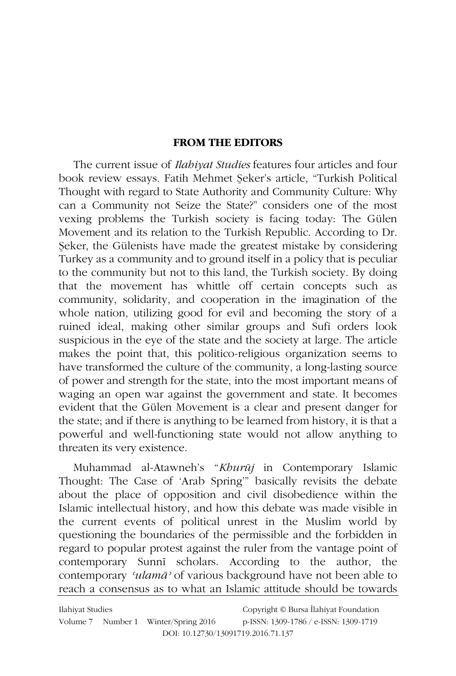## **FROM THE EDITORS**

The current issue of *Ilabiyat Studies* features four articles and four book review essays. Fatih Mehmet Şeker's article, "Turkish Political Thought with regard to State Authority and Community Culture: Why can a Community not Seize the State?" considers one of the most vexing problems the Turkish society is facing today: The Gülen Movement and its relation to the Turkish Republic. According to Dr. Seker, the Gülenists have made the greatest mistake by considering Turkey as a community and to ground itself in a policy that is peculiar to the community but not to this land, the Turkish society. By doing that the movement has whittle off certain concepts such as community, solidarity, and cooperation in the imagination of the whole nation, utilizing good for evil and becoming the story of a ruined ideal, making other similar groups and Sufi orders look suspicious in the eye of the state and the society at large. The article makes the point that, this politico-religious organization seems to have transformed the culture of the community, a long-lasting source of power and strength for the state, into the most important means of waging an open war against the government and state. It becomes evident that the Gülen Movement is a clear and present danger for the state; and if there is anything to be learned from history, it is that a powerful and well-functioning state would not allow anything to threaten its very existence.

Muhammad al-Atawneh's "Khurūj in Contemporary Islamic Thought: The Case of 'Arab Spring" basically revisits the debate about the place of opposition and civil disobedience within the Islamic intellectual history, and how this debate was made visible in the current events of political unrest in the Muslim world by questioning the boundaries of the permissible and the forbidden in regard to popular protest against the ruler from the vantage point of contemporary Sunni scholars. According to the author, the contemporary 'ulamā' of various background have not been able to reach a consensus as to what an Islamic attitude should be towards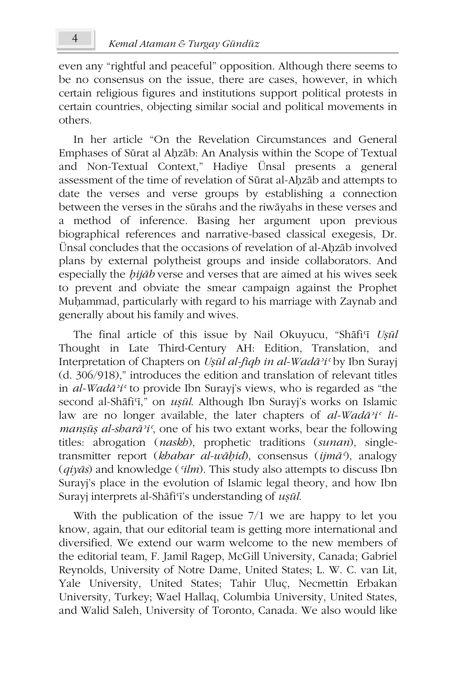even any "rightful and peaceful" opposition. Although there seems to be no consensus on the issue, there are cases, however, in which certain religious figures and institutions support political protests in certain countries, objecting similar social and political movements in others

In her article "On the Revelation Circumstances and General Emphases of Sūrat al Ahzāb: An Analysis within the Scope of Textual and Non-Textual Context," Hadiye Ünsal presents a general assessment of the time of revelation of Sūrat al-Ahzāb and attempts to date the verses and verse groups by establishing a connection between the verses in the sūrahs and the riwāyahs in these verses and a method of inference. Basing her argument upon previous biographical references and narrative-based classical exegesis, Dr. Ünsal concludes that the occasions of revelation of al-Ahzāb involved plans by external polytheist groups and inside collaborators. And especially the *hijab* verse and verses that are aimed at his wives seek to prevent and obviate the smear campaign against the Prophet Muhammad, particularly with regard to his marriage with Zaynab and generally about his family and wives.

The final article of this issue by Nail Okuyucu, "Shāfi'ī Uşūl Thought in Late Third-Century AH: Edition, Translation, and Interpretation of Chapters on *Usūl al-figh in al-Wadā*<sup>3</sup>*i*' by Ibn Surayj (d. 306/918)," introduces the edition and translation of relevant titles in al-Wadā'i' to provide Ibn Surayi's views, who is regarded as "the second al-Shāfi'i," on *ușūl*. Although Ibn Surayj's works on Islamic law are no longer available, the later chapters of  $al$ -Wad $\bar{a}$ <sup>3</sup>i<sup>c</sup> li*mansūs al-sharā'i'*, one of his two extant works, bear the following titles: abrogation (*naskb*), prophetic traditions (*sunan*), singletransmitter report (khabar al-wāḥid), consensus (ijmā<sup>5</sup>), analogy  $(qiy\bar{a}s)$  and knowledge ('ilm). This study also attempts to discuss Ibn Surayi's place in the evolution of Islamic legal theory, and how Ibn Surayj interprets al-Shāfi'i's understanding of *usūl*.

With the publication of the issue  $7/1$  we are happy to let you know, again, that our editorial team is getting more international and diversified. We extend our warm welcome to the new members of the editorial team, F. Jamil Ragep, McGill University, Canada; Gabriel Reynolds, University of Notre Dame, United States; L. W. C. van Lit, Yale University, United States; Tahir Uluç, Necmettin Erbakan University, Turkey; Wael Hallaq, Columbia University, United States, and Walid Saleh, University of Toronto, Canada. We also would like